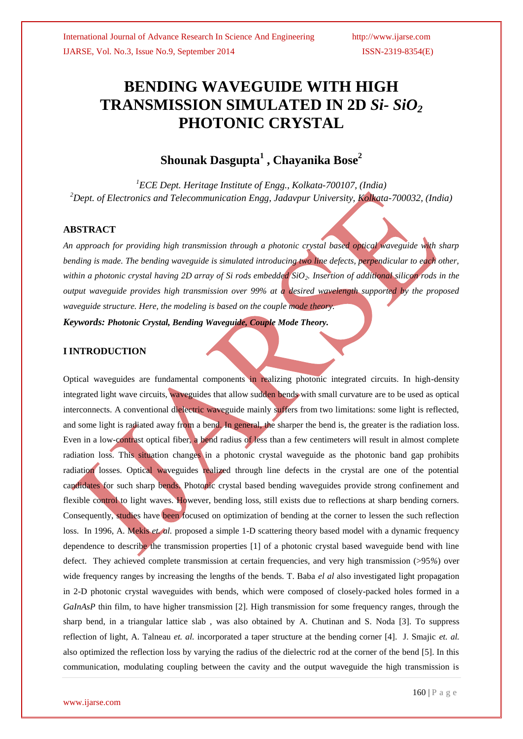# **BENDING WAVEGUIDE WITH HIGH TRANSMISSION SIMULATED IN 2D** *Si- SiO<sup>2</sup>* **PHOTONIC CRYSTAL**

## **Shounak Dasgupta<sup>1</sup> , Chayanika Bose<sup>2</sup>**

*<sup>1</sup>ECE Dept. Heritage Institute of Engg., Kolkata-700107, (India) <sup>2</sup>Dept. of Electronics and Telecommunication Engg, Jadavpur University, Kolkata-700032, (India)*

#### **ABSTRACT**

*An approach for providing high transmission through a photonic crystal based optical waveguide with sharp bending is made. The bending waveguide is simulated introducing two line defects, perpendicular to each other, within a photonic crystal having 2D array of Si rods embedded SiO2. Insertion of additional silicon rods in the output waveguide provides high transmission over 99% at a desired wavelength supported by the proposed waveguide structure. Here, the modeling is based on the couple mode theory. Keywords: Photonic Crystal, Bending Waveguide, Couple Mode Theory.*

#### **I INTRODUCTION**

Optical waveguides are fundamental components in realizing photonic integrated circuits. In high-density integrated light wave circuits, waveguides that allow sudden bends with small curvature are to be used as optical interconnects. A conventional dielectric waveguide mainly suffers from two limitations: some light is reflected, and some light is radiated away from a bend. In general, the sharper the bend is, the greater is the radiation loss. Even in a low-contrast optical fiber, a bend radius of less than a few centimeters will result in almost complete radiation loss. This situation changes in a photonic crystal waveguide as the photonic band gap prohibits radiation losses. Optical waveguides realized through line defects in the crystal are one of the potential candidates for such sharp bends. Photonic crystal based bending waveguides provide strong confinement and flexible control to light waves. However, bending loss, still exists due to reflections at sharp bending corners. Consequently, studies have been focused on optimization of bending at the corner to lessen the such reflection loss. In 1996, [A. Mekis](http://publish.aps.org/search/field/author/Attila%20Mekis) *et. al.* proposed a simple 1-D scattering theory based model with a dynamic frequency dependence to describe the transmission properties [1] of a photonic crystal based waveguide bend with line defect. They achieved complete transmission at certain frequencies, and very high transmission (>95*%*) over wide frequency ranges by increasing the lengths of the bends. T. Baba *el al* also investigated light propagation in 2-D photonic crystal waveguides with bends, which were composed of closely-packed holes formed in a *GaInAsP* thin film, to have higher transmission [2]. High transmission for some frequency ranges, through the sharp bend, in a triangular lattice slab , was also obtained by [A. Chutinan](http://publish.aps.org/search/field/author/Alongkarn%20Chutinan) and [S. Noda](http://publish.aps.org/search/field/author/Susumu%20Noda) [3]. To suppress reflection of light, A. Talneau *et. al.* incorporated a taper structure at the bending corner [4]. J. Smajic *et. al.*  also optimized the reflection loss by varying the radius of the dielectric rod at the corner of the bend [5]. In this communication, modulating coupling between the cavity and the output waveguide the high transmission is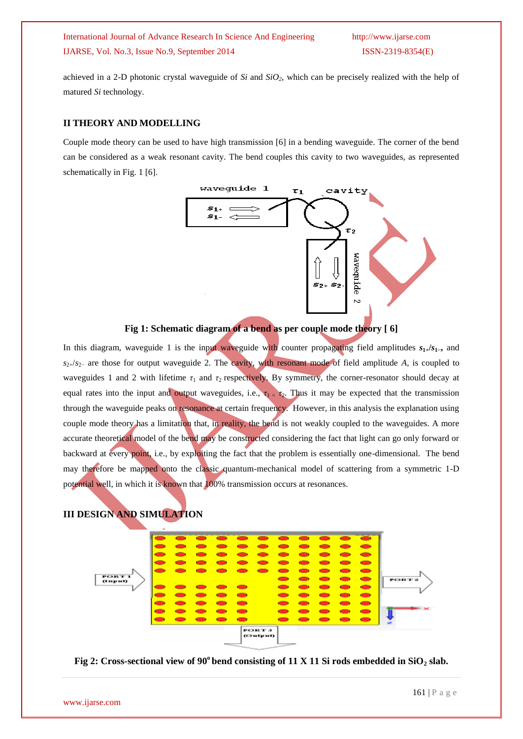achieved in a 2-D photonic crystal waveguide of *Si* and *SiO2*, which can be precisely realized with the help of matured *Si* technology.

#### **II THEORY AND MODELLING**

Couple mode theory can be used to have high transmission [6] in a bending waveguide. The corner of the bend can be considered as a weak resonant cavity. The bend couples this cavity to two waveguides, as represented schematically in Fig. 1 [6].



#### **Fig 1: Schematic diagram of a bend as per couple mode theory [ 6]**

In this diagram, waveguide 1 is the input waveguide with counter propagating field amplitudes *s***1+/***s***1−,** and *s*2+/*s*2− are those for output waveguide 2. The cavity, with resonant mode of field amplitude *A,* is coupled to waveguides 1 and 2 with lifetime  $\tau_1$  and  $\tau_2$  respectively. By symmetry, the corner-resonator should decay at equal rates into the input and output waveguides, i.e.,  $\tau_1 = \tau_2$ . Thus it may be expected that the transmission through the waveguide peaks on resonance at certain frequency. However, in this analysis the explanation using couple mode theory has a limitation that, in reality, the bend is not weakly coupled to the waveguides. A more accurate theoretical model of the bend may be constructed considering the fact that light can go only forward or backward at every point, i.e., by exploiting the fact that the problem is essentially one-dimensional. The bend may therefore be mapped onto the classic quantum-mechanical model of scattering from a symmetric 1-D potential well, in which it is known that 100% transmission occurs at resonances.

#### **III DESIGN AND SIMULATION**



Fig 2: Cross-sectional view of 90<sup>°</sup> bend consisting of 11 X 11 Si rods embedded in SiO<sub>2</sub> slab.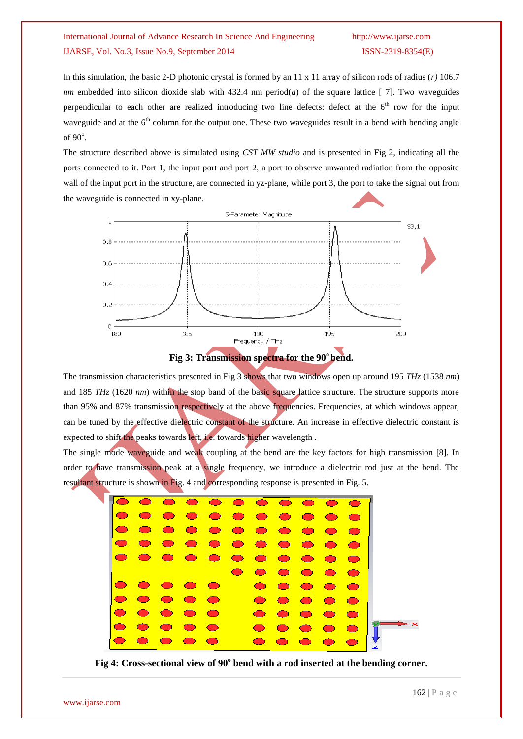In this simulation, the basic 2-D photonic crystal is formed by an 11 x 11 array of silicon rods of radius (*r)* 106.7 *nm* embedded into silicon dioxide slab with 432.4 nm period(*a*) of the square lattice [ 7]. Two waveguides perpendicular to each other are realized introducing two line defects: defect at the  $6<sup>th</sup>$  row for the input waveguide and at the  $6<sup>th</sup>$  column for the output one. These two waveguides result in a bend with bending angle of  $90^\circ$ .

The structure described above is simulated using *CST MW studio* and is presented in Fig 2, indicating all the ports connected to it. Port 1, the input port and port 2, a port to observe unwanted radiation from the opposite wall of the input port in the structure, are connected in yz-plane, while port 3, the port to take the signal out from the waveguide is connected in xy-plane.





The transmission characteristics presented in Fig 3 shows that two windows open up around 195 *THz* (1538 *nm*) and 185 *THz* (1620 *nm*) within the stop band of the basic square lattice structure. The structure supports more than 95% and 87% transmission respectively at the above frequencies. Frequencies, at which windows appear, can be tuned by the effective dielectric constant of the structure. An increase in effective dielectric constant is expected to shift the peaks towards left, i.e. towards higher wavelength .

The single mode waveguide and weak coupling at the bend are the key factors for high transmission [8]. In order to have transmission peak at a single frequency, we introduce a dielectric rod just at the bend. The resultant structure is shown in Fig. 4 and corresponding response is presented in Fig. 5.



Fig 4: Cross-sectional view of 90° bend with a rod inserted at the bending corner.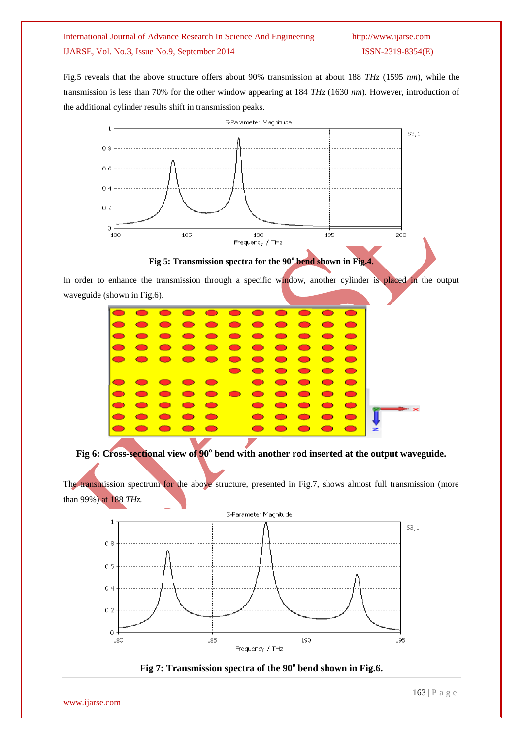Fig.5 reveals that the above structure offers about 90% transmission at about 188 *THz* (1595 *nm*), while the transmission is less than 70% for the other window appearing at 184 *THz* (1630 *nm*). However, introduction of the additional cylinder results shift in transmission peaks.





In order to enhance the transmission through a specific window, another cylinder is placed in the output waveguide (shown in Fig.6).

|                |   |   | .                        |   |          |  |
|----------------|---|---|--------------------------|---|----------|--|
|                |   |   |                          |   |          |  |
|                |   |   | .                        |   |          |  |
|                |   |   | .                        |   |          |  |
|                |   |   | .                        |   | <b>D</b> |  |
|                |   |   | .                        |   |          |  |
|                |   | . |                          | . |          |  |
|                |   |   | .                        |   |          |  |
| $\blacksquare$ | . |   |                          |   |          |  |
|                |   |   | .                        | . |          |  |
|                |   |   |                          |   |          |  |
|                |   |   | <b>Contract Contract</b> |   |          |  |

Fig 6: Cross-sectional view of 90° bend with another rod inserted at the output waveguide.

The transmission spectrum for the above structure, presented in Fig.7, shows almost full transmission (more than 99%) at 188 *THz.*





www.ijarse.com